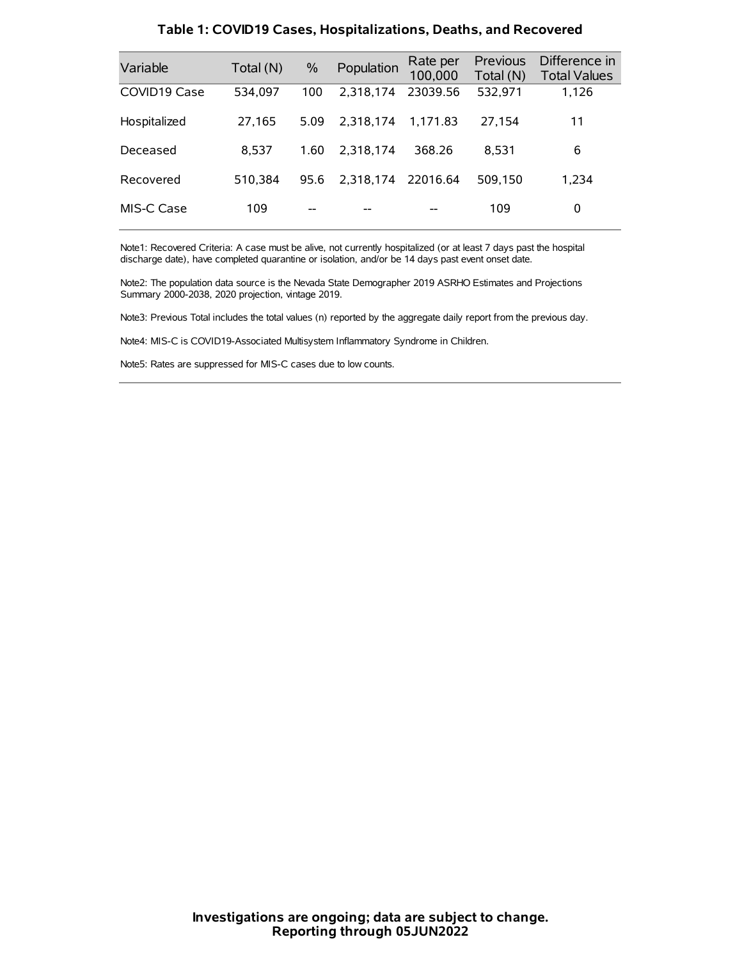| Variable     | Total (N) | $\frac{0}{0}$ | Population | Rate per<br>100,000 | <b>Previous</b><br>Total (N) | Difference in<br><b>Total Values</b> |
|--------------|-----------|---------------|------------|---------------------|------------------------------|--------------------------------------|
| COVID19 Case | 534,097   | 100           | 2,318,174  | 23039.56            | 532,971                      | 1,126                                |
| Hospitalized | 27,165    | 5.09          | 2.318.174  | 1.171.83            | 27,154                       | 11                                   |
| Deceased     | 8.537     | 1.60          | 2.318.174  | 368.26              | 8.531                        | 6                                    |
| Recovered    | 510.384   | 95.6          | 2,318,174  | 22016.64            | 509.150                      | 1,234                                |
| MIS-C Case   | 109       | --            |            |                     | 109                          | 0                                    |

#### **Table 1: COVID19 Cases, Hospitalizations, Deaths, and Recovered**

Note1: Recovered Criteria: A case must be alive, not currently hospitalized (or at least 7 days past the hospital discharge date), have completed quarantine or isolation, and/or be 14 days past event onset date.

Note2: The population data source is the Nevada State Demographer 2019 ASRHO Estimates and Projections Summary 2000-2038, 2020 projection, vintage 2019.

Note3: Previous Total includes the total values (n) reported by the aggregate daily report from the previous day.

Note4: MIS-C is COVID19-Associated Multisystem Inflammatory Syndrome in Children.

Note5: Rates are suppressed for MIS-C cases due to low counts.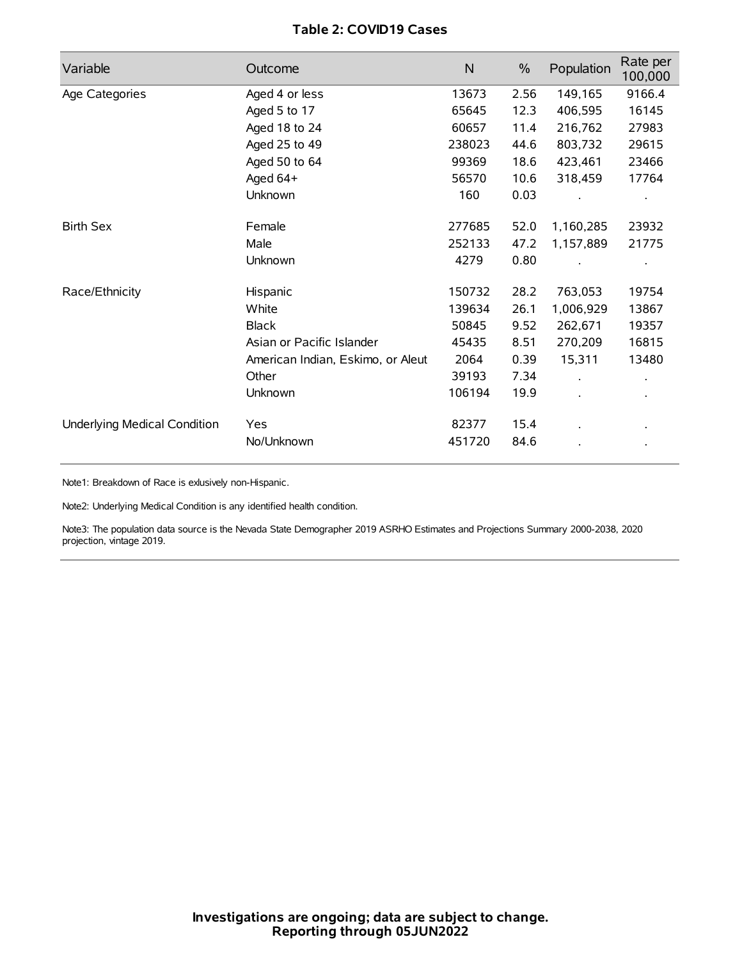# **Table 2: COVID19 Cases**

| Variable                     | Outcome                           | $\mathsf{N}$ | $\%$ | Population | Rate per<br>100,000 |
|------------------------------|-----------------------------------|--------------|------|------------|---------------------|
| Age Categories               | Aged 4 or less                    | 13673        | 2.56 | 149,165    | 9166.4              |
|                              | Aged 5 to 17                      | 65645        | 12.3 | 406,595    | 16145               |
|                              | Aged 18 to 24                     | 60657        | 11.4 | 216,762    | 27983               |
|                              | Aged 25 to 49                     | 238023       | 44.6 | 803,732    | 29615               |
|                              | Aged 50 to 64                     | 99369        | 18.6 | 423,461    | 23466               |
|                              | Aged 64+                          | 56570        | 10.6 | 318,459    | 17764               |
|                              | Unknown                           | 160          | 0.03 |            |                     |
| <b>Birth Sex</b>             | Female                            | 277685       | 52.0 | 1,160,285  | 23932               |
|                              | Male                              | 252133       | 47.2 | 1,157,889  | 21775               |
|                              | Unknown                           | 4279         | 0.80 |            |                     |
| Race/Ethnicity               | Hispanic                          | 150732       | 28.2 | 763,053    | 19754               |
|                              | White                             | 139634       | 26.1 | 1,006,929  | 13867               |
|                              | <b>Black</b>                      | 50845        | 9.52 | 262,671    | 19357               |
|                              | Asian or Pacific Islander         | 45435        | 8.51 | 270,209    | 16815               |
|                              | American Indian, Eskimo, or Aleut | 2064         | 0.39 | 15,311     | 13480               |
|                              | Other                             | 39193        | 7.34 |            |                     |
|                              | <b>Unknown</b>                    | 106194       | 19.9 | $\cdot$    |                     |
| Underlying Medical Condition | Yes                               | 82377        | 15.4 |            |                     |
|                              | No/Unknown                        | 451720       | 84.6 |            |                     |

Note1: Breakdown of Race is exlusively non-Hispanic.

Note2: Underlying Medical Condition is any identified health condition.

Note3: The population data source is the Nevada State Demographer 2019 ASRHO Estimates and Projections Summary 2000-2038, 2020 projection, vintage 2019.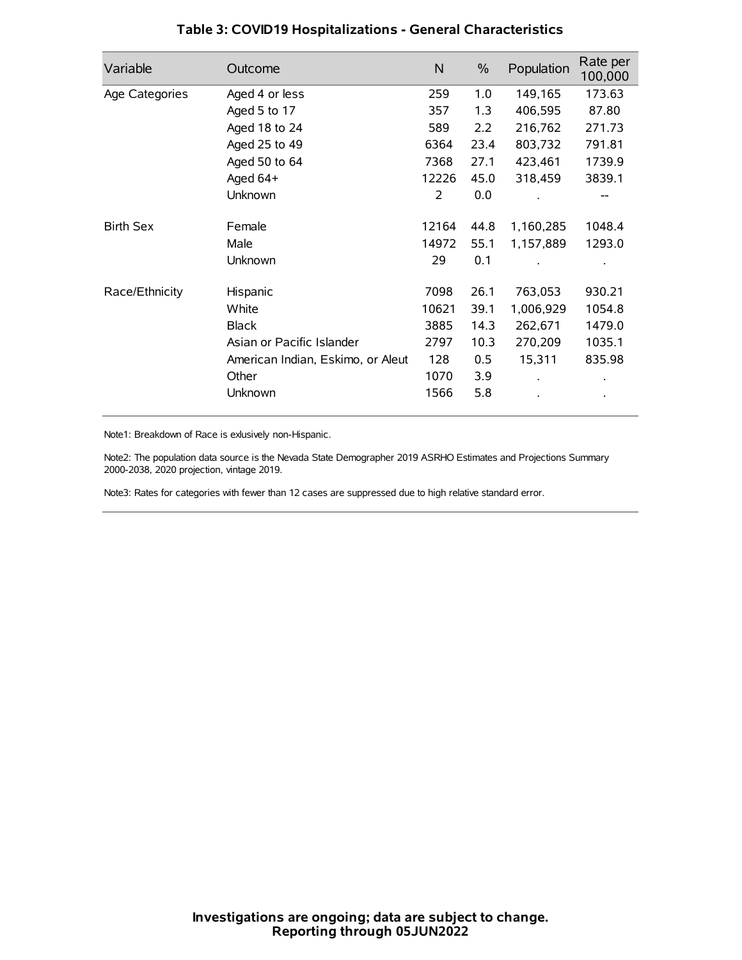| Variable         | Outcome                           | $\mathsf{N}$ | $\%$ | Population | Rate per<br>100,000 |
|------------------|-----------------------------------|--------------|------|------------|---------------------|
| Age Categories   | Aged 4 or less                    | 259          | 1.0  | 149,165    | 173.63              |
|                  | Aged 5 to 17                      | 357          | 1.3  | 406,595    | 87.80               |
|                  | Aged 18 to 24                     | 589          | 2.2  | 216,762    | 271.73              |
|                  | Aged 25 to 49                     | 6364         | 23.4 | 803,732    | 791.81              |
|                  | Aged 50 to 64                     | 7368         | 27.1 | 423,461    | 1739.9              |
|                  | Aged 64+                          | 12226        | 45.0 | 318,459    | 3839.1              |
|                  | Unknown                           | 2            | 0.0  |            |                     |
| <b>Birth Sex</b> | Female                            | 12164        | 44.8 | 1,160,285  | 1048.4              |
|                  | Male                              | 14972        | 55.1 | 1,157,889  | 1293.0              |
|                  | Unknown                           | 29           | 0.1  |            |                     |
| Race/Ethnicity   | Hispanic                          | 7098         | 26.1 | 763,053    | 930.21              |
|                  | White                             | 10621        | 39.1 | 1,006,929  | 1054.8              |
|                  | <b>Black</b>                      | 3885         | 14.3 | 262,671    | 1479.0              |
|                  | Asian or Pacific Islander         | 2797         | 10.3 | 270,209    | 1035.1              |
|                  | American Indian, Eskimo, or Aleut | 128          | 0.5  | 15,311     | 835.98              |
|                  | Other                             | 1070         | 3.9  |            |                     |
|                  | Unknown                           | 1566         | 5.8  |            |                     |

# **Table 3: COVID19 Hospitalizations - General Characteristics**

Note1: Breakdown of Race is exlusively non-Hispanic.

Note2: The population data source is the Nevada State Demographer 2019 ASRHO Estimates and Projections Summary 2000-2038, 2020 projection, vintage 2019.

Note3: Rates for categories with fewer than 12 cases are suppressed due to high relative standard error.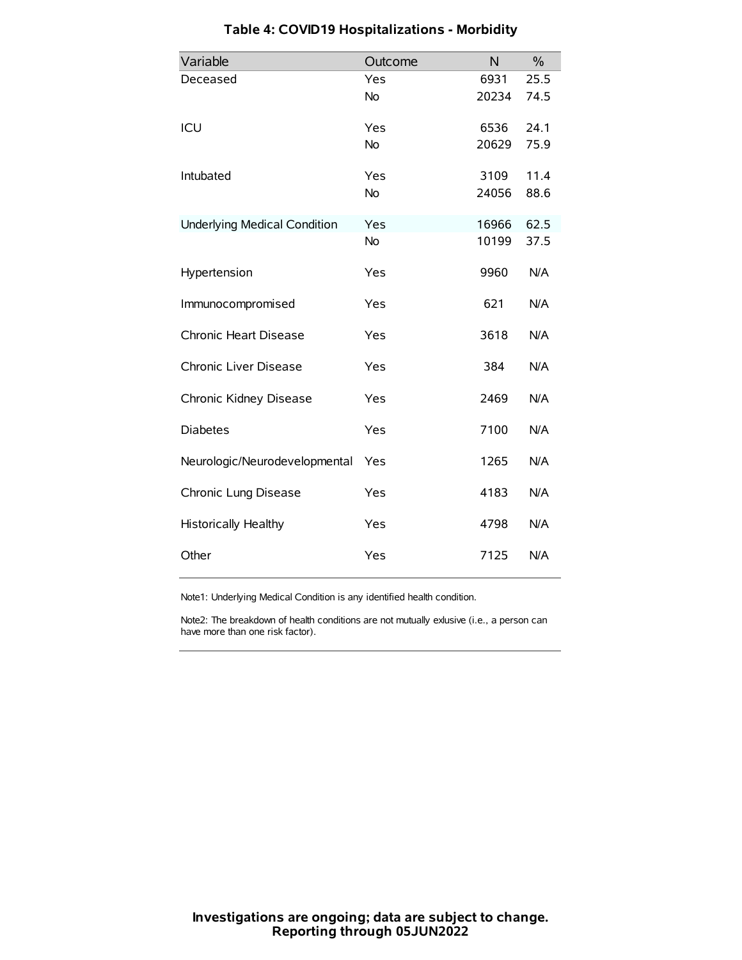| Variable                            | Outcome   | N     | $\frac{0}{0}$ |
|-------------------------------------|-----------|-------|---------------|
| Deceased                            | Yes       | 6931  | 25.5          |
|                                     | No        | 20234 | 74.5          |
| ICU                                 | Yes       | 6536  | 24.1          |
|                                     | <b>No</b> | 20629 | 75.9          |
| Intubated                           | Yes       | 3109  | 11.4          |
|                                     | No        | 24056 | 88.6          |
| <b>Underlying Medical Condition</b> | Yes       | 16966 | 62.5          |
|                                     | <b>No</b> | 10199 | 37.5          |
| Hypertension                        | Yes       | 9960  | N/A           |
| Immunocompromised                   | Yes       | 621   | N/A           |
| Chronic Heart Disease               | Yes       | 3618  | N/A           |
| Chronic Liver Disease               | Yes       | 384   | N/A           |
| Chronic Kidney Disease              | Yes       | 2469  | N/A           |
| <b>Diabetes</b>                     | Yes       | 7100  | N/A           |
| Neurologic/Neurodevelopmental       | Yes       | 1265  | N/A           |
| Chronic Lung Disease                | Yes       | 4183  | N/A           |
| Historically Healthy                | Yes       | 4798  | N/A           |
| Other                               | Yes       | 7125  | N/A           |

# **Table 4: COVID19 Hospitalizations - Morbidity**

Note1: Underlying Medical Condition is any identified health condition.

Note2: The breakdown of health conditions are not mutually exlusive (i.e., a person can have more than one risk factor).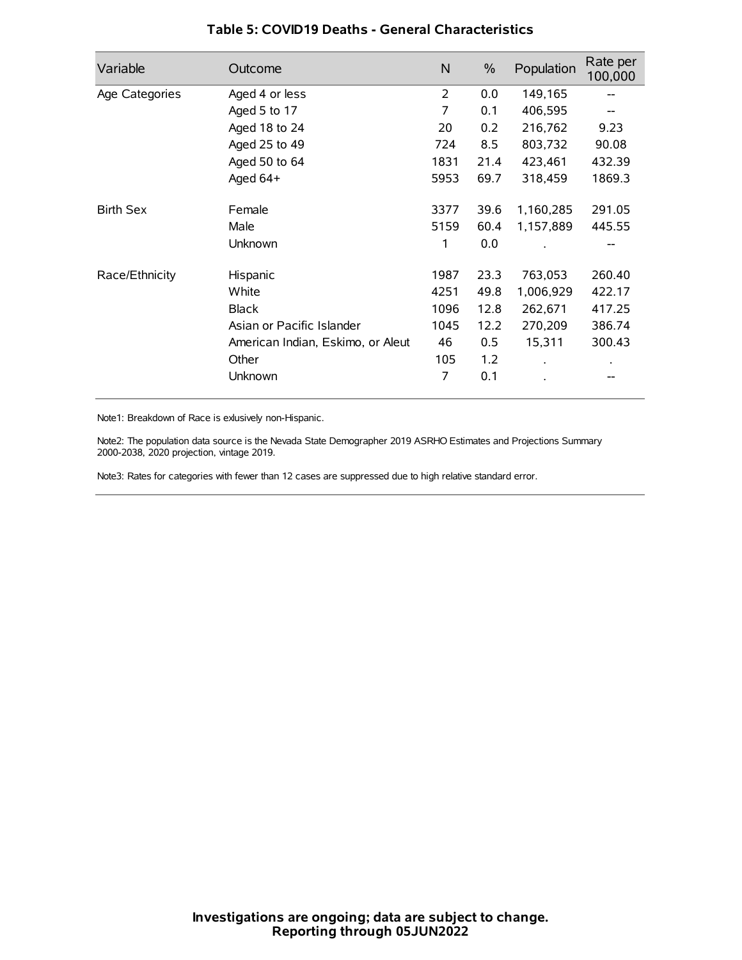| Variable         | Outcome                           | N    | $\%$ | Population | Rate per<br>100,000 |
|------------------|-----------------------------------|------|------|------------|---------------------|
| Age Categories   | Aged 4 or less                    | 2    | 0.0  | 149,165    |                     |
|                  | Aged 5 to 17                      | 7    | 0.1  | 406,595    |                     |
|                  | Aged 18 to 24                     | 20   | 0.2  | 216,762    | 9.23                |
|                  | Aged 25 to 49                     | 724  | 8.5  | 803,732    | 90.08               |
|                  | Aged 50 to 64                     | 1831 | 21.4 | 423,461    | 432.39              |
|                  | Aged 64+                          | 5953 | 69.7 | 318,459    | 1869.3              |
| <b>Birth Sex</b> | Female                            | 3377 | 39.6 | 1,160,285  | 291.05              |
|                  | Male                              | 5159 | 60.4 | 1,157,889  | 445.55              |
|                  | Unknown                           | 1    | 0.0  |            | --                  |
| Race/Ethnicity   | Hispanic                          | 1987 | 23.3 | 763,053    | 260.40              |
|                  | White                             | 4251 | 49.8 | 1,006,929  | 422.17              |
|                  | <b>Black</b>                      | 1096 | 12.8 | 262,671    | 417.25              |
|                  | Asian or Pacific Islander         | 1045 | 12.2 | 270,209    | 386.74              |
|                  | American Indian, Eskimo, or Aleut | 46   | 0.5  | 15,311     | 300.43              |
|                  | Other                             | 105  | 1.2  |            |                     |
|                  | Unknown                           | 7    | 0.1  |            |                     |

### **Table 5: COVID19 Deaths - General Characteristics**

Note1: Breakdown of Race is exlusively non-Hispanic.

Note2: The population data source is the Nevada State Demographer 2019 ASRHO Estimates and Projections Summary 2000-2038, 2020 projection, vintage 2019.

Note3: Rates for categories with fewer than 12 cases are suppressed due to high relative standard error.